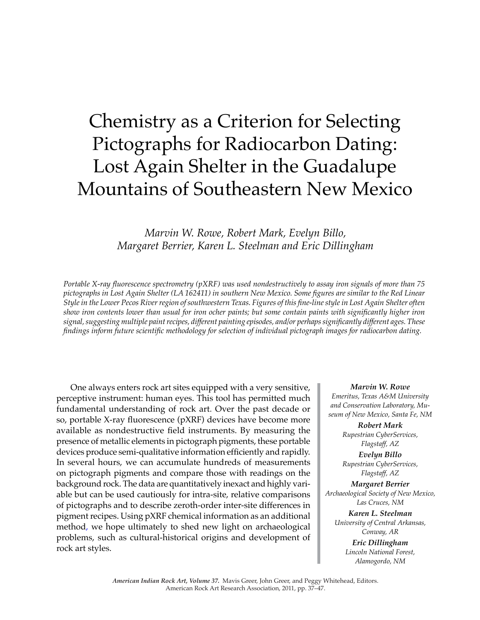# Chemistry as a Criterion for Selecting Pictographs for Radiocarbon Dating: Lost Again Shelter in the Guadalupe Mountains of Southeastern New Mexico

*Marvin W. Rowe, Robert Mark, Evelyn Billo, Margaret Berrier, Karen L. Steelman and Eric Dillingham*

*Portable X-ray fluorescence spectrometry (pXRF) was used nondestructively to assay iron signals of more than 75 pictographs in Lost Again Shelter (LA 162411) in southern New Mexico. Some figures are similar to the Red Linear Style in the Lower Pecos River region of southwestern Texas. Figures of this fine-line style in Lost Again Shelter often show iron contents lower than usual for iron ocher paints; but some contain paints with significantly higher iron signal, suggesting multiple paint recipes, different painting episodes, and/or perhaps significantly different ages. These findings inform future scientific methodology for selection of individual pictograph images for radiocarbon dating.*

One always enters rock art sites equipped with a very sensitive, perceptive instrument: human eyes. This tool has permitted much fundamental understanding of rock art. Over the past decade or so, portable X-ray fluorescence (pXRF) devices have become more available as nondestructive field instruments. By measuring the presence of metallic elements in pictograph pigments, these portable devices produce semi-qualitative information efficiently and rapidly. In several hours, we can accumulate hundreds of measurements on pictograph pigments and compare those with readings on the background rock. The data are quantitatively inexact and highly variable but can be used cautiously for intra-site, relative comparisons of pictographs and to describe zeroth-order inter-site differences in pigment recipes. Using pXRF chemical information as an additional method, we hope ultimately to shed new light on archaeological problems, such as cultural-historical origins and development of rock art styles.

*Marvin W. Rowe Emeritus, Texas A&M University and Conservation Laboratory, Museum of New Mexico, Santa Fe, NM*

> *Robert Mark Rupestrian CyberServices, Flagstaff, AZ*

> *Evelyn Billo Rupestrian CyberServices, Flagstaff, AZ*

*Margaret Berrier Archaeological Society of New Mexico, Las Cruces, NM*

*Karen L. Steelman University of Central Arkansas, Conway, AR*

> *Eric Dillingham Lincoln National Forest, Alamogordo, NM*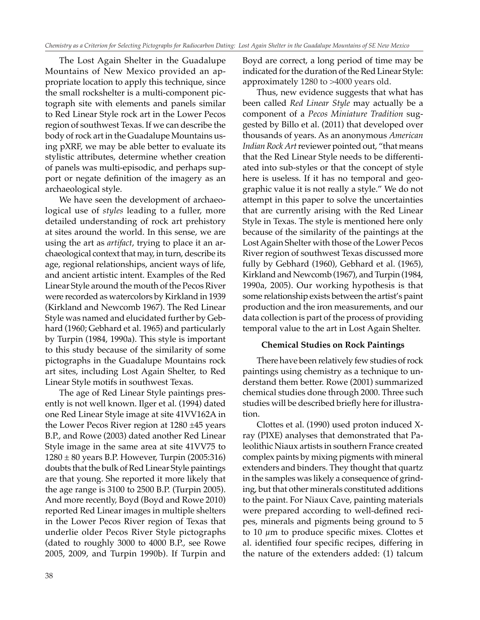The Lost Again Shelter in the Guadalupe Mountains of New Mexico provided an appropriate location to apply this technique, since the small rockshelter is a multi-component pictograph site with elements and panels similar to Red Linear Style rock art in the Lower Pecos region of southwest Texas. If we can describe the body of rock art in the Guadalupe Mountains using pXRF, we may be able better to evaluate its stylistic attributes, determine whether creation of panels was multi-episodic, and perhaps support or negate definition of the imagery as an archaeological style.

We have seen the development of archaeological use of *styles* leading to a fuller, more detailed understanding of rock art prehistory at sites around the world. In this sense, we are using the art as *artifact*, trying to place it an archaeological context that may, in turn, describe its age, regional relationships, ancient ways of life, and ancient artistic intent. Examples of the Red Linear Style around the mouth of the Pecos River were recorded as watercolors by Kirkland in 1939 (Kirkland and Newcomb 1967). The Red Linear Style was named and elucidated further by Gebhard (1960; Gebhard et al. 1965) and particularly by Turpin (1984, 1990a). This style is important to this study because of the similarity of some pictographs in the Guadalupe Mountains rock art sites, including Lost Again Shelter, to Red Linear Style motifs in southwest Texas.

The age of Red Linear Style paintings presently is not well known. Ilger et al. (1994) dated one Red Linear Style image at site 41VV162A in the Lower Pecos River region at 1280 ±45 years B.P., and Rowe (2003) dated another Red Linear Style image in the same area at site 41VV75 to  $1280 \pm 80$  years B.P. However, Turpin (2005:316) doubts that the bulk of Red Linear Style paintings are that young. She reported it more likely that the age range is 3100 to 2500 B.P. (Turpin 2005). And more recently, Boyd (Boyd and Rowe 2010) reported Red Linear images in multiple shelters in the Lower Pecos River region of Texas that underlie older Pecos River Style pictographs (dated to roughly 3000 to 4000 B.P., see Rowe 2005, 2009, and Turpin 1990b). If Turpin and Boyd are correct, a long period of time may be indicated for the duration of the Red Linear Style: approximately 1280 to >4000 years old.

Thus, new evidence suggests that what has been called *Red Linear Style* may actually be a component of a *Pecos Miniature Tradition* suggested by Billo et al. (2011) that developed over thousands of years. As an anonymous *American Indian Rock Art* reviewer pointed out, "that means that the Red Linear Style needs to be differentiated into sub-styles or that the concept of style here is useless. If it has no temporal and geographic value it is not really a style." We do not attempt in this paper to solve the uncertainties that are currently arising with the Red Linear Style in Texas. The style is mentioned here only because of the similarity of the paintings at the Lost Again Shelter with those of the Lower Pecos River region of southwest Texas discussed more fully by Gebhard (1960), Gebhard et al. (1965), Kirkland and Newcomb (1967), and Turpin (1984, 1990a, 2005). Our working hypothesis is that some relationship exists between the artist's paint production and the iron measurements, and our data collection is part of the process of providing temporal value to the art in Lost Again Shelter.

### **Chemical Studies on Rock Paintings**

There have been relatively few studies of rock paintings using chemistry as a technique to understand them better. Rowe (2001) summarized chemical studies done through 2000. Three such studies will be described briefly here for illustration.

 Clottes et al. (1990) used proton induced Xray (PIXE) analyses that demonstrated that Paleolithic Niaux artists in southern France created complex paints by mixing pigments with mineral extenders and binders. They thought that quartz in the samples was likely a consequence of grinding, but that other minerals constituted additions to the paint. For Niaux Cave, painting materials were prepared according to well-defined recipes, minerals and pigments being ground to 5 to 10  $\mu$ m to produce specific mixes. Clottes et al. identified four specific recipes, differing in the nature of the extenders added: (1) talcum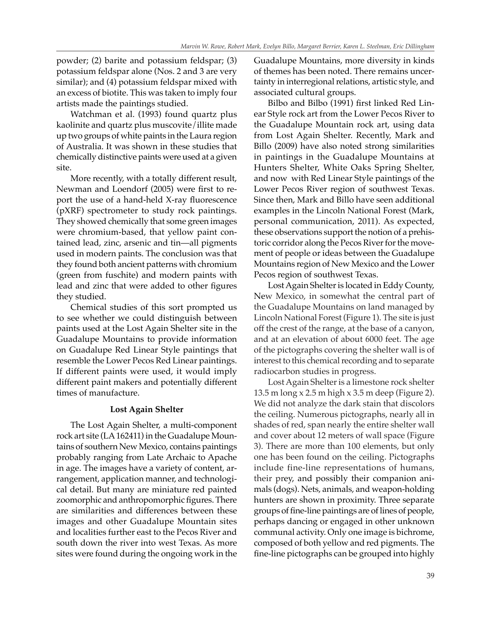powder; (2) barite and potassium feldspar; (3) potassium feldspar alone (Nos. 2 and 3 are very similar); and (4) potassium feldspar mixed with an excess of biotite. This was taken to imply four artists made the paintings studied.

Watchman et al. (1993) found quartz plus kaolinite and quartz plus muscovite/illite made up two groups of white paints in the Laura region of Australia. It was shown in these studies that chemically distinctive paints were used at a given site.

More recently, with a totally different result, Newman and Loendorf (2005) were first to report the use of a hand-held X-ray fluorescence (pXRF) spectrometer to study rock paintings. They showed chemically that some green images were chromium-based, that yellow paint contained lead, zinc, arsenic and tin—all pigments used in modern paints. The conclusion was that they found both ancient patterns with chromium (green from fuschite) and modern paints with lead and zinc that were added to other figures they studied.

Chemical studies of this sort prompted us to see whether we could distinguish between paints used at the Lost Again Shelter site in the Guadalupe Mountains to provide information on Guadalupe Red Linear Style paintings that resemble the Lower Pecos Red Linear paintings. If different paints were used, it would imply different paint makers and potentially different times of manufacture.

# **Lost Again Shelter**

The Lost Again Shelter, a multi-component rock art site (LA 162411) in the Guadalupe Mountains of southern New Mexico, contains paintings probably ranging from Late Archaic to Apache in age. The images have a variety of content, arrangement, application manner, and technological detail. But many are miniature red painted zoomorphic and anthropomorphic figures. There are similarities and differences between these images and other Guadalupe Mountain sites and localities further east to the Pecos River and south down the river into west Texas. As more sites were found during the ongoing work in the Guadalupe Mountains, more diversity in kinds of themes has been noted. There remains uncertainty in interregional relations, artistic style, and associated cultural groups.

Bilbo and Bilbo (1991) first linked Red Linear Style rock art from the Lower Pecos River to the Guadalupe Mountain rock art, using data from Lost Again Shelter. Recently, Mark and Billo (2009) have also noted strong similarities in paintings in the Guadalupe Mountains at Hunters Shelter, White Oaks Spring Shelter, and now with Red Linear Style paintings of the Lower Pecos River region of southwest Texas. Since then, Mark and Billo have seen additional examples in the Lincoln National Forest (Mark, personal communication, 2011). As expected, these observations support the notion of a prehistoric corridor along the Pecos River for the movement of people or ideas between the Guadalupe Mountains region of New Mexico and the Lower Pecos region of southwest Texas.

Lost Again Shelter is located in Eddy County, New Mexico, in somewhat the central part of the Guadalupe Mountains on land managed by Lincoln National Forest (Figure 1). The site is just off the crest of the range, at the base of a canyon, and at an elevation of about 6000 feet. The age of the pictographs covering the shelter wall is of interest to this chemical recording and to separate radiocarbon studies in progress.

Lost Again Shelter is a limestone rock shelter 13.5 m long x 2.5 m high x 3.5 m deep (Figure 2). We did not analyze the dark stain that discolors the ceiling. Numerous pictographs, nearly all in shades of red, span nearly the entire shelter wall and cover about 12 meters of wall space (Figure 3). There are more than 100 elements, but only one has been found on the ceiling. Pictographs include fine-line representations of humans, their prey, and possibly their companion animals (dogs). Nets, animals, and weapon-holding hunters are shown in proximity. Three separate groups of fine-line paintings are of lines of people, perhaps dancing or engaged in other unknown communal activity. Only one image is bichrome, composed of both yellow and red pigments. The fine-line pictographs can be grouped into highly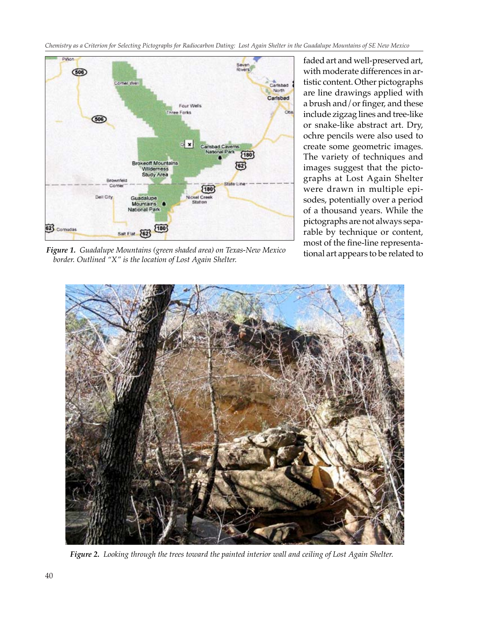*Chemistry as a Criterion for Selecting Pictographs for Radiocarbon Dating: Lost Again Shelter in the Guadalupe Mountains of SE New Mexico*



*Figure 1. Guadalupe Mountains (green shaded area) on Texas-New Mexico border. Outlined "X" is the location of Lost Again Shelter.*

faded art and well-preserved art, with moderate differences in artistic content. Other pictographs are line drawings applied with a brush and/or finger, and these include zigzag lines and tree-like or snake-like abstract art. Dry, ochre pencils were also used to create some geometric images. The variety of techniques and images suggest that the pictographs at Lost Again Shelter were drawn in multiple episodes, potentially over a period of a thousand years. While the pictographs are not always separable by technique or content, most of the fine-line representational art appears to be related to



*Figure 2. Looking through the trees toward the painted interior wall and ceiling of Lost Again Shelter.*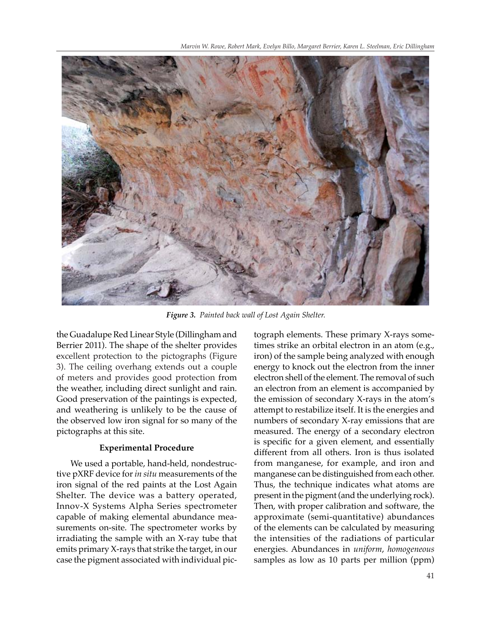

*Figure 3. Painted back wall of Lost Again Shelter.*

the Guadalupe Red Linear Style (Dillingham and Berrier 2011). The shape of the shelter provides excellent protection to the pictographs (Figure 3). The ceiling overhang extends out a couple of meters and provides good protection from the weather, including direct sunlight and rain. Good preservation of the paintings is expected, and weathering is unlikely to be the cause of the observed low iron signal for so many of the pictographs at this site.

#### **Experimental Procedure**

We used a portable, hand-held, nondestructive pXRF device for *in situ* measurements of the iron signal of the red paints at the Lost Again Shelter. The device was a battery operated, Innov-X Systems Alpha Series spectrometer capable of making elemental abundance measurements on-site. The spectrometer works by irradiating the sample with an X-ray tube that emits primary X-rays that strike the target, in our case the pigment associated with individual pic-

tograph elements. These primary X-rays sometimes strike an orbital electron in an atom (e.g., iron) of the sample being analyzed with enough energy to knock out the electron from the inner electron shell of the element. The removal of such an electron from an element is accompanied by the emission of secondary X-rays in the atom's attempt to restabilize itself. It is the energies and numbers of secondary X-ray emissions that are measured. The energy of a secondary electron is specific for a given element, and essentially different from all others. Iron is thus isolated from manganese, for example, and iron and manganese can be distinguished from each other. Thus, the technique indicates what atoms are present in the pigment (and the underlying rock). Then, with proper calibration and software, the approximate (semi-quantitative) abundances of the elements can be calculated by measuring the intensities of the radiations of particular energies. Abundances in *uniform*, *homogeneous* samples as low as 10 parts per million (ppm)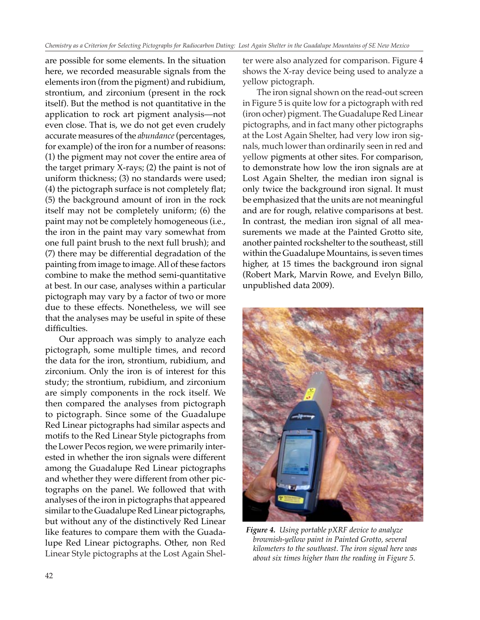are possible for some elements. In the situation here, we recorded measurable signals from the elements iron (from the pigment) and rubidium, strontium, and zirconium (present in the rock itself). But the method is not quantitative in the application to rock art pigment analysis—not even close. That is, we do not get even crudely accurate measures of the *abundance* (percentages, for example) of the iron for a number of reasons: (1) the pigment may not cover the entire area of the target primary X-rays; (2) the paint is not of uniform thickness; (3) no standards were used; (4) the pictograph surface is not completely flat; (5) the background amount of iron in the rock itself may not be completely uniform; (6) the paint may not be completely homogeneous (i.e., the iron in the paint may vary somewhat from one full paint brush to the next full brush); and (7) there may be differential degradation of the painting from image to image. All of these factors combine to make the method semi-quantitative at best. In our case, analyses within a particular pictograph may vary by a factor of two or more due to these effects. Nonetheless, we will see that the analyses may be useful in spite of these difficulties.

Our approach was simply to analyze each pictograph, some multiple times, and record the data for the iron, strontium, rubidium, and zirconium. Only the iron is of interest for this study; the strontium, rubidium, and zirconium are simply components in the rock itself. We then compared the analyses from pictograph to pictograph. Since some of the Guadalupe Red Linear pictographs had similar aspects and motifs to the Red Linear Style pictographs from the Lower Pecos region, we were primarily interested in whether the iron signals were different among the Guadalupe Red Linear pictographs and whether they were different from other pictographs on the panel. We followed that with analyses of the iron in pictographs that appeared similar to the Guadalupe Red Linear pictographs, but without any of the distinctively Red Linear like features to compare them with the Guadalupe Red Linear pictographs. Other, non Red Linear Style pictographs at the Lost Again Shelter were also analyzed for comparison. Figure 4 shows the X-ray device being used to analyze a yellow pictograph.

The iron signal shown on the read-out screen in Figure 5 is quite low for a pictograph with red (iron ocher) pigment. The Guadalupe Red Linear pictographs, and in fact many other pictographs at the Lost Again Shelter, had very low iron signals, much lower than ordinarily seen in red and yellow pigments at other sites. For comparison, to demonstrate how low the iron signals are at Lost Again Shelter, the median iron signal is only twice the background iron signal. It must be emphasized that the units are not meaningful and are for rough, relative comparisons at best. In contrast, the median iron signal of all measurements we made at the Painted Grotto site, another painted rockshelter to the southeast, still within the Guadalupe Mountains, is seven times higher, at 15 times the background iron signal (Robert Mark, Marvin Rowe, and Evelyn Billo, unpublished data 2009).



*Figure 4. Using portable pXRF device to analyze brownish-yellow paint in Painted Grotto, several kilometers to the southeast. The iron signal here was about six times higher than the reading in Figure 5.*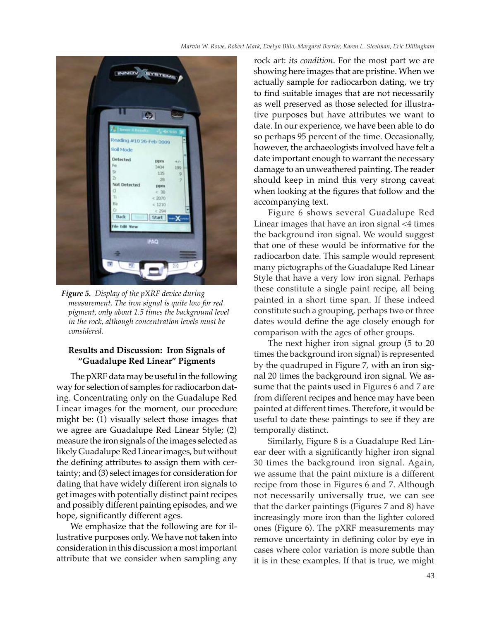

*Figure 5. Display of the pXRF device during measurement. The iron signal is quite low for red pigment, only about 1.5 times the background level in the rock, although concentration levels must be considered.* 

# **Results and Discussion: Iron Signals of "Guadalupe Red Linear" Pigments**

The pXRF data may be useful in the following way for selection of samples for radiocarbon dating. Concentrating only on the Guadalupe Red Linear images for the moment, our procedure might be: (1) visually select those images that we agree are Guadalupe Red Linear Style; (2) measure the iron signals of the images selected as likely Guadalupe Red Linear images, but without the defining attributes to assign them with certainty; and (3) select images for consideration for dating that have widely different iron signals to get images with potentially distinct paint recipes and possibly different painting episodes, and we hope, significantly different ages.

We emphasize that the following are for illustrative purposes only. We have not taken into consideration in this discussion a most important attribute that we consider when sampling any rock art: *its condition*. For the most part we are showing here images that are pristine. When we actually sample for radiocarbon dating, we try to find suitable images that are not necessarily as well preserved as those selected for illustrative purposes but have attributes we want to date. In our experience, we have been able to do so perhaps 95 percent of the time. Occasionally, however, the archaeologists involved have felt a date important enough to warrant the necessary damage to an unweathered painting. The reader should keep in mind this very strong caveat when looking at the figures that follow and the accompanying text.

Figure 6 shows several Guadalupe Red Linear images that have an iron signal <4 times the background iron signal. We would suggest that one of these would be informative for the radiocarbon date. This sample would represent many pictographs of the Guadalupe Red Linear Style that have a very low iron signal. Perhaps these constitute a single paint recipe, all being painted in a short time span. If these indeed constitute such a grouping, perhaps two or three dates would define the age closely enough for comparison with the ages of other groups.

The next higher iron signal group (5 to 20 times the background iron signal) is represented by the quadruped in Figure 7, with an iron signal 20 times the background iron signal. We assume that the paints used in Figures 6 and 7 are from different recipes and hence may have been painted at different times. Therefore, it would be useful to date these paintings to see if they are temporally distinct.

Similarly, Figure 8 is a Guadalupe Red Linear deer with a significantly higher iron signal 30 times the background iron signal. Again, we assume that the paint mixture is a different recipe from those in Figures 6 and 7. Although not necessarily universally true, we can see that the darker paintings (Figures 7 and 8) have increasingly more iron than the lighter colored ones (Figure 6). The pXRF measurements may remove uncertainty in defining color by eye in cases where color variation is more subtle than it is in these examples. If that is true, we might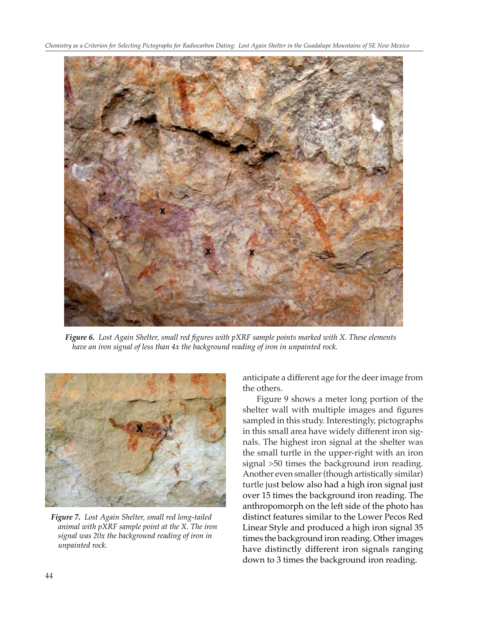*Chemistry as a Criterion for Selecting Pictographs for Radiocarbon Dating: Lost Again Shelter in the Guadalupe Mountains of SE New Mexico*



*Figure 6. Lost Again Shelter, small red figures with pXRF sample points marked with X. These elements have an iron signal of less than 4x the background reading of iron in unpainted rock.*



*Figure 7. Lost Again Shelter, small red long-tailed animal with pXRF sample point at the X. The iron signal was 20x the background reading of iron in unpainted rock.*

anticipate a different age for the deer image from the others.

 Figure 9 shows a meter long portion of the shelter wall with multiple images and figures sampled in this study. Interestingly, pictographs in this small area have widely different iron signals. The highest iron signal at the shelter was the small turtle in the upper-right with an iron signal >50 times the background iron reading. Another even smaller (though artistically similar) turtle just below also had a high iron signal just over 15 times the background iron reading. The anthropomorph on the left side of the photo has distinct features similar to the Lower Pecos Red Linear Style and produced a high iron signal 35 times the background iron reading. Other images have distinctly different iron signals ranging down to 3 times the background iron reading.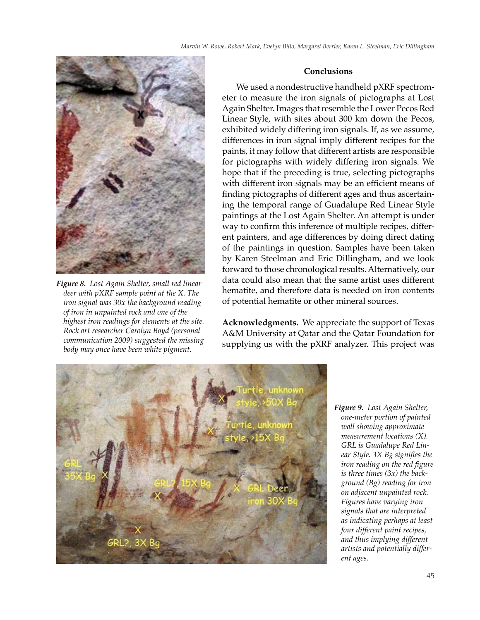

*Figure 8. Lost Again Shelter, small red linear deer with pXRF sample point at the X. The iron signal was 30x the background reading of iron in unpainted rock and one of the highest iron readings for elements at the site. Rock art researcher Carolyn Boyd (personal communication 2009) suggested the missing body may once have been white pigment.* 

## **Conclusions**

 We used a nondestructive handheld pXRF spectrometer to measure the iron signals of pictographs at Lost Again Shelter. Images that resemble the Lower Pecos Red Linear Style, with sites about 300 km down the Pecos, exhibited widely differing iron signals. If, as we assume, differences in iron signal imply different recipes for the paints, it may follow that different artists are responsible for pictographs with widely differing iron signals. We hope that if the preceding is true, selecting pictographs with different iron signals may be an efficient means of finding pictographs of different ages and thus ascertaining the temporal range of Guadalupe Red Linear Style paintings at the Lost Again Shelter. An attempt is under way to confirm this inference of multiple recipes, different painters, and age differences by doing direct dating of the paintings in question. Samples have been taken by Karen Steelman and Eric Dillingham, and we look forward to those chronological results. Alternatively, our data could also mean that the same artist uses different hematite, and therefore data is needed on iron contents of potential hematite or other mineral sources.

**Acknowledgments.** We appreciate the support of Texas A&M University at Qatar and the Qatar Foundation for supplying us with the pXRF analyzer. This project was



*Figure 9. Lost Again Shelter, one-meter portion of painted wall showing approximate measurement locations (X). GRL is Guadalupe Red Linear Style. 3X Bg signifies the iron reading on the red figure is three times (3x) the background (Bg) reading for iron on adjacent unpainted rock. Figures have varying iron signals that are interpreted as indicating perhaps at least four different paint recipes, and thus implying different artists and potentially different ages.*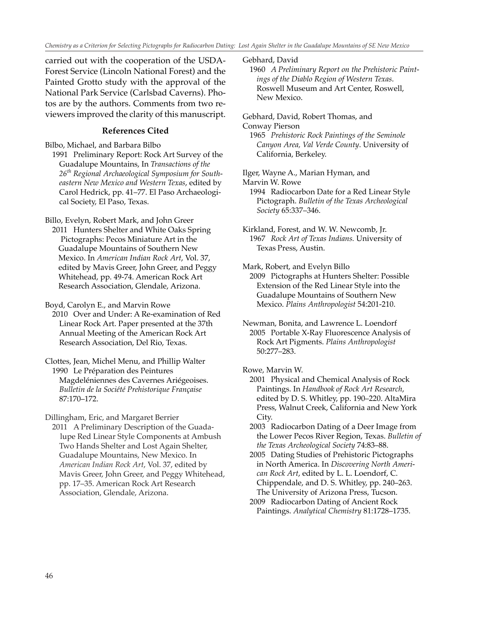*Chemistry as a Criterion for Selecting Pictographs for Radiocarbon Dating: Lost Again Shelter in the Guadalupe Mountains of SE New Mexico*

carried out with the cooperation of the USDA-Forest Service (Lincoln National Forest) and the Painted Grotto study with the approval of the National Park Service (Carlsbad Caverns). Photos are by the authors. Comments from two reviewers improved the clarity of this manuscript.

## **References Cited**

Bilbo, Michael, and Barbara Bilbo

 1991 Preliminary Report: Rock Art Survey of the Guadalupe Mountains, In *Transactions of the 26th Regional Archaeological Symposium for South eastern New Mexico and Western Texas*, edited by Carol Hedrick, pp. 41–77. El Paso Archaeologi cal Society, El Paso, Texas.

Billo, Evelyn, Robert Mark, and John Greer

 2011 Hunters Shelter and White Oaks Spring Pictographs: Pecos Miniature Art in the Guadalupe Mountains of Southern New Mexico. In *American Indian Rock Art*, Vol. 37, edited by Mavis Greer, John Greer, and Peggy Whitehead, pp. 49-74. American Rock Art Research Association, Glendale, Arizona.

Boyd, Carolyn E., and Marvin Rowe

 2010 Over and Under: A Re-examination of Red Linear Rock Art. Paper presented at the 37th Annual Meeting of the American Rock Art Research Association, Del Rio, Texas.

Clottes, Jean, Michel Menu, and Phillip Walter 1990 Le Préparation des Peintures Magdeléniennes des Cavernes Ariégeoises.  *Bulletin de la Société Prehistorique Française* 87:170–172.

Dillingham, Eric, and Margaret Berrier

 2011 A Preliminary Description of the Guada lupe Red Linear Style Components at Ambush Two Hands Shelter and Lost Again Shelter, Guadalupe Mountains, New Mexico. In *American Indian Rock Art*, Vol. 37, edited by Mavis Greer, John Greer, and Peggy Whitehead, pp. 17–35. American Rock Art Research Association, Glendale, Arizona.

Gebhard, David

 1960 *A Preliminary Report on the Prehistoric Paint ings of the Diablo Region of Western Texas*. Roswell Museum and Art Center, Roswell, New Mexico.

Gebhard, David, Robert Thomas, and

Conway Pierson

 1965 *Prehistoric Rock Paintings of the Seminole Canyon Area, Val Verde County*. University of California, Berkeley.

Ilger, Wayne A., Marian Hyman, and

Marvin W. Rowe

 1994 Radiocarbon Date for a Red Linear Style Pictograph. *Bulletin of the Texas Archeological Society* 65:337–346.

Kirkland, Forest, and W. W. Newcomb, Jr. 1967 *Rock Art of Texas Indians.* University of Texas Press, Austin.

Mark, Robert, and Evelyn Billo

 2009 Pictographs at Hunters Shelter: Possible Extension of the Red Linear Style into the Guadalupe Mountains of Southern New Mexico. *Plains Anthropologist* 54:201-210.

Newman, Bonita, and Lawrence L. Loendorf 2005 Portable X-Ray Fluorescence Analysis of Rock Art Pigments. *Plains Anthropologist* 50:277–283.

Rowe, Marvin W.

 2001 Physical and Chemical Analysis of Rock Paintings. In *Handbook of Rock Art Research*, edited by D. S. Whitley, pp. 190–220. AltaMira Press, Walnut Creek, California and New York City.

 2003 Radiocarbon Dating of a Deer Image from the Lower Pecos River Region, Texas. *Bulletin of the Texas Archeological Society* 74:83–88.

 2005 Dating Studies of Prehistoric Pictographs in North America. In *Discovering North Ameri can Rock Art*, edited by L. L. Loendorf, C. Chippendale, and D. S. Whitley, pp. 240–263. The University of Arizona Press, Tucson.

 2009 Radiocarbon Dating of Ancient Rock Paintings. *Analytical Chemistry* 81:1728–1735.